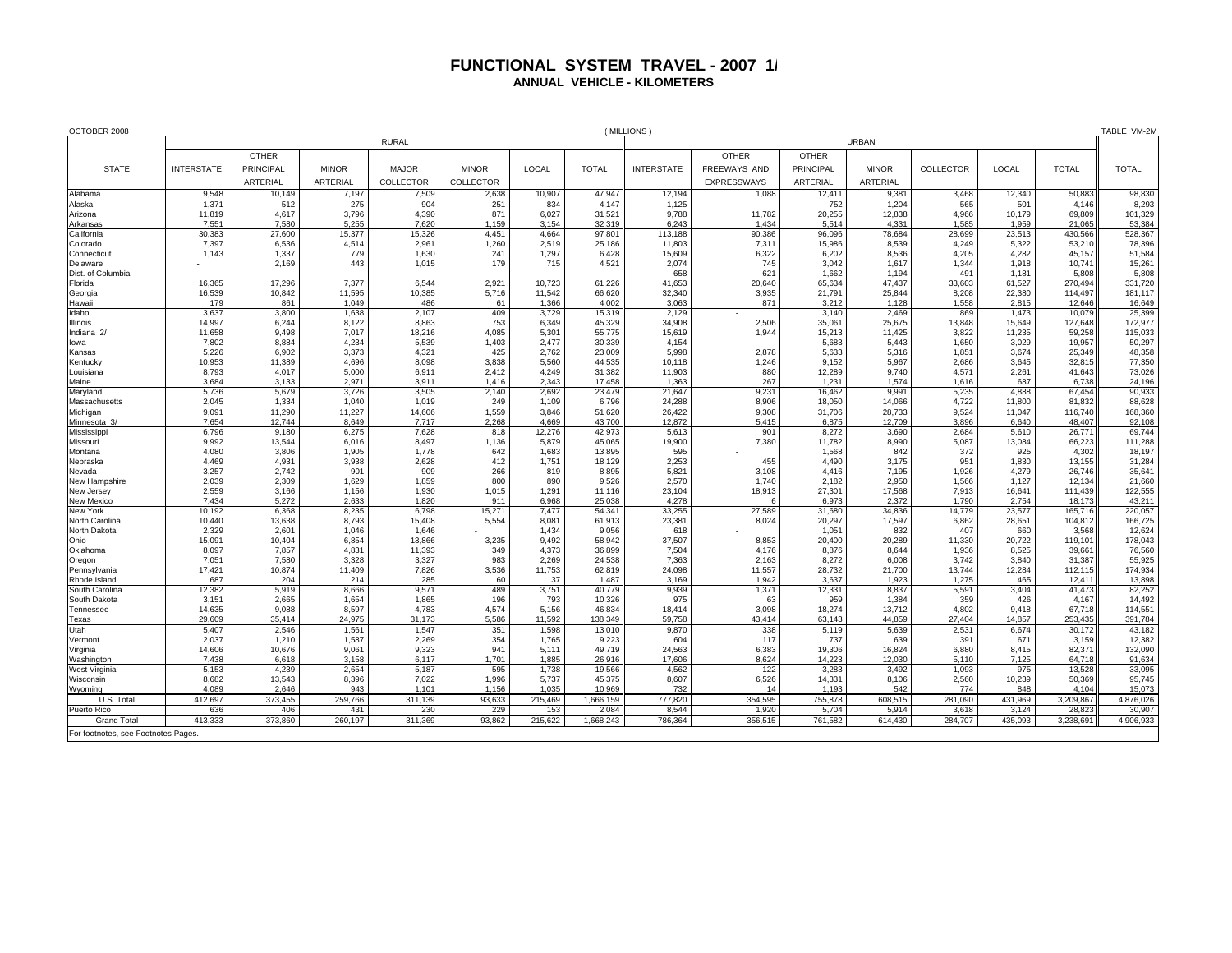## **FUNCTIONAL SYSTEM TRAVEL - 2007 1/ ANNUAL VEHICLE - KILOMETERS**

| OCTOBER 2008                       |                   |                  |                 |                 |                |                |                  | (MILLIONS)        |                     |                  |                  |                |                 |                   | TABLE VM-2M       |
|------------------------------------|-------------------|------------------|-----------------|-----------------|----------------|----------------|------------------|-------------------|---------------------|------------------|------------------|----------------|-----------------|-------------------|-------------------|
|                                    | <b>RURAL</b>      |                  |                 |                 |                |                |                  |                   | <b>URBAN</b>        |                  |                  |                |                 |                   |                   |
|                                    |                   | <b>OTHER</b>     |                 |                 |                |                |                  |                   | <b>OTHER</b>        | <b>OTHER</b>     |                  |                |                 |                   |                   |
| <b>STATE</b>                       | <b>INTERSTATE</b> | <b>PRINCIPAL</b> | <b>MINOR</b>    | <b>MAJOR</b>    | <b>MINOR</b>   | LOCAL          | <b>TOTAL</b>     | <b>INTERSTATE</b> | <b>FREEWAYS AND</b> | PRINCIPAL        | <b>MINOR</b>     | COLLECTOR      | LOCAL           | <b>TOTAL</b>      | <b>TOTAL</b>      |
|                                    |                   | ARTERIAL         | <b>ARTERIAL</b> | COLLECTOR       | COLLECTOR      |                |                  |                   | <b>EXPRESSWAYS</b>  | ARTERIAL         | ARTERIAL         |                |                 |                   |                   |
| Alabama                            | 9,548             | 10,149           | 7,197           | 7,509           | 2,638          | 10,907         | 47,947           | 12,194            | 1,088               | 12,41            | 9,381            | 3,468          | 12,340          | 50,883            | 98,830            |
| Alaska                             | 1,371             | 512              | 275             | 904             | 251            | 834            | 4,147            | 1,125             |                     | 752              | 1,204            | 565            | 501             | 4,146             | 8,293             |
| Arizona                            | 11,819            | 4,617            | 3,796           | 4,390           | 871            | 6,027          | 31,521           | 9,788             | 11,782              | 20,255           | 12,838           | 4,966          | 10,179          | 69,809            | 101,329           |
| Arkansas                           | 7,551             | 7,580            | 5,255           | 7,620           | 1,159          | 3,154          | 32.319           | 6,243             | 1,434               | 5,514            | 4,331            | 1,585          | 1,959           | 21,065            | 53,384            |
| California                         | 30,383            | 27,600           | 15,377          | 15,326          | 4,451          | 4,664          | 97,801           | 113,188           | 90,386              | 96,096           | 78,684           | 28,699         | 23,513          | 430,566           | 528,367           |
| Colorado<br>Connecticut            | 7.397<br>1,143    | 6.536<br>1,337   | 4,514<br>779    | 2,961<br>1,630  | 1,260<br>241   | 2.519<br>1,297 | 25.186<br>6,428  | 11,803<br>15,609  | 7,311<br>6,322      | 15,986<br>6,202  | 8,539<br>8,536   | 4.249<br>4,205 | 5.322<br>4,282  | 53,210<br>45,157  | 78,396<br>51,584  |
| Delaware                           |                   | 2,169            | 443             | 1,015           | 179            | 715            | 4,521            | 2,074             | 745                 | 3,042            | 1,617            | 1,344          | 1.918           | 10.741            | 15,261            |
| Dist. of Columbia                  |                   |                  |                 |                 |                |                |                  | 658               | 621                 | 1,662            | 1,194            | 491            | 1,181           | 5,808             | 5,808             |
| Florida                            | 16,365            | 17,296           | 7,377           | 6,544           | 2,921          | 10,723         | 61,226           | 41,653            | 20,640              | 65,634           | 47,437           | 33,603         | 61,527          | 270,494           | 331,720           |
| Georgia                            | 16,539            | 10,842           | 11,595          | 10,385          | 5,716          | 11,542         | 66,620           | 32,340            | 3,935               | 21,791           | 25,844           | 8,208          | 22,380          | 114,497           | 181,117           |
| Hawaii                             | 179               | 861              | 1.049           | 486             | 61             | 1.366          | 4.002            | 3.063             | 871                 | 3.212            | 1.128            | 1.558          | 2.815           | 12.646            | 16,649            |
| Idaho                              | 3,637<br>14,997   | 3,800<br>6,244   | 1,638<br>8,122  | 2,107           | 409<br>753     | 3,729<br>6,349 | 15,319<br>45,329 | 2,129<br>34,908   | 2,506               | 3,140<br>35,061  | 2,469<br>25,675  | 869<br>13,848  | 1,473<br>15,649 | 10,079<br>127,648 | 25,399<br>172,977 |
| Illinois<br>Indiana 2/             | 11,658            | 9.498            | 7,017           | 8,863<br>18,216 | 4,085          | 5,301          | 55,775           | 15,619            | 1.944               | 15,213           | 11,425           | 3,822          | 11,235          | 59,258            | 115,033           |
| lowa                               | 7,802             | 8.884            | 4.234           | 5.539           | 1.403          | 2.477          | 30.339           | 4.154             |                     | 5.683            | 5.443            | 1.650          | 3.029           | 19.957            | 50,297            |
| Kansas                             | 5,226             | 6,902            | 3,373           | 4,321           | 425            | 2,762          | 23,009           | 5,998             | 2,878               | 5,633            | 5,316            | 1,851          | 3,674           | 25,349            | 48,358            |
| Kentucky                           | 10,953            | 11,389           | 4,696           | 8,098           | 3,838          | 5.560          | 44.535           | 10,118            | 1,246               | 9,152            | 5,967            | 2,686          | 3.645           | 32,815            | 77,350            |
| Louisiana                          | 8,793             | 4,017            | 5,000           | 6,911           | 2,412          | 4,249          | 31,382           | 11,903            | 880                 | 12,289           | 9,740            | 4,571          | 2,261           | 41,643            | 73,026            |
| Maine                              | 3,684             | 3,133            | 2,97'           | 3,911           | 1,416          | 2,343          | 17,458           | 1,363             | 267                 | 1,231            | 1,574            | 1,616          | 687             | 6,738             | 24,196            |
| Maryland<br>Massachusetts          | 5,736<br>2,045    | 5,679<br>1,334   | 3,726<br>1,040  | 3,505<br>1,019  | 2,140<br>249   | 2,692<br>1,109 | 23,479<br>6,796  | 21,647            | 9,23'               | 16,462           | 9,991            | 5,235          | 4.888<br>11,800 | 67.454<br>81,832  | 90,933<br>88,628  |
| Michigan                           | 9,091             | 11,290           | 11,227          | 14,606          | 1,559          | 3,846          | 51,620           | 24,288<br>26,422  | 8,906<br>9,308      | 18,050<br>31,706 | 14,066<br>28,733 | 4,722<br>9,524 | 11,047          | 116,740           | 168,360           |
| Minnesota 3/                       | 7.654             | 12.744           | 8.649           | 7,717           | 2,268          | 4,669          | 43.700           | 12,872            | 5,415               | 6,875            | 12,709           | 3.896          | 6.640           | 48.407            | 92,108            |
| Mississippi                        | 6,796             | 9,180            | 6,275           | 7,628           | 818            | 12,276         | 42,973           | 5,613             | 901                 | 8,272            | 3,690            | 2,684          | 5,610           | 26,771            | 69,744            |
| Missouri                           | 9,992             | 13,544           | 6,016           | 8,497           | 1,136          | 5,879          | 45,065           | 19,900            | 7,380               | 11,782           | 8,990            | 5,087          | 13,084          | 66,223            | 111,288           |
| Montana                            | 4,080             | 3,806            | 1,905           | 1,778           | 642            | 1,683          | 13,895           | 595               |                     | 1,568            | 842              | 372            | 925             | 4,302             | 18,197            |
| Nebraska<br>Nevada                 | 4.469<br>3,257    | 4.931<br>2,742   | 3.938<br>901    | 2,628<br>909    | 412<br>266     | 1.751<br>819   | 18,129<br>8,895  | 2.253<br>5,821    | 455<br>3,108        | 4,490<br>4,416   | 3,175<br>7,195   | 951<br>1,926   | 1.830<br>4,279  | 13.155<br>26,746  | 31,284<br>35,641  |
| New Hampshire                      | 2,039             | 2,309            | 1,629           | 1,859           | 800            | 890            | 9,526            | 2,570             | 1.740               | 2,182            | 2,950            | 1,566          | 1,127           | 12,134            | 21,660            |
| New Jersey                         | 2,559             | 3,166            | 1,156           | 1,930           | 1,015          | 1,291          | 11,116           | 23,104            | 18,913              | 27,301           | 17,568           | 7,913          | 16,641          | 111,439           | 122,555           |
| New Mexico                         | 7.434             | 5,272            | 2,633           | 1,820           | 911            | 6,968          | 25,038           | 4,278             |                     | 6,973            | 2,372            | 1,790          | 2,754           | 18,173            | 43,211            |
| <b>New York</b>                    | 10,192            | 6.368            | 8,235           | 6,798           | 15,271         | 7,477          | 54.341           | 33,255            | 27,589              | 31,680           | 34,836           | 14,779         | 23,577          | 165,716           | 220,057           |
| North Carolina                     | 10,440            | 13,638           | 8,793           | 15,408          | 5,554          | 8,081          | 61,913           | 23,381            | 8,024               | 20,297           | 17,597           | 6,862          | 28,651          | 104,812           | 166,725           |
| North Dakota<br>Ohio               | 2,329<br>15,091   | 2,601<br>10.404  | 1,046<br>6.854  | 1,646<br>13,866 | 3.235          | 1,434<br>9.492 | 9,056<br>58.942  | 618<br>37,507     | 8.853               | 1,051<br>20,400  | 832<br>20,289    | 407<br>11.330  | 660<br>20,722   | 3,568<br>119.101  | 12,624<br>178,043 |
| Oklahoma                           | 8,097             | 7,857            | 4,831           | 11,393          | 349            | 4,373          | 36,899           | 7,504             | 4,176               | 8,876            | 8,644            | 1,936          | 8,525           | 39,661            | 76,560            |
| Oregon                             | 7,051             | 7,580            | 3,328           | 3,327           | 983            | 2,269          | 24,538           | 7,363             | 2,163               | 8,272            | 6,008            | 3,742          | 3,840           | 31,387            | 55,925            |
| Pennsylvania                       | 17.421            | 10,874           | 11,409          | 7,826           | 3,536          | 11,753         | 62,819           | 24,098            | 11,557              | 28,732           | 21,700           | 13.744         | 12,284          | 112,115           | 174,934           |
| Rhode Island                       | 687               | 204              | 214             | 285             | 60             | 37             | 1.487            | 3,169             | 1.942               | 3.637            | 1.923            | 1.275          | 465             | 12.411            | 13,898            |
| South Carolina                     | 12,382            | 5,919            | 8,666           | 9,571           | 489            | 3,751          | 40,779           | 9,939             | 1,37'               | 12,331           | 8,837            | 5,591          | 3,404           | 41,473            | 82,252            |
| South Dakota<br>Tennessee          | 3,151<br>14,635   | 2,665<br>9.088   | 1,654<br>8,597  | 1,865<br>4,783  | 196<br>4,574   | 793<br>5,156   | 10,326<br>46,834 | 975<br>18,414     | 63<br>3,098         | 959<br>18,274    | 1,384<br>13,712  | 359<br>4,802   | 426<br>9.418    | 4,167<br>67,718   | 14,492<br>114,551 |
| Texas                              | 29,609            | 35.414           | 24,975          | 31.173          | 5,586          | 11,592         | 138.349          | 59,758            | 43,414              | 63.143           | 44,859           | 27.404         | 14,857          | 253,435           | 391,784           |
| Utah                               | 5,407             | 2.546            | 1,56'           | 1,547           | 351            | 1.598          | 13.010           | 9,870             | 338                 | 5,119            | 5,639            | 2,531          | 6.674           | 30,172            | 43,182            |
| Vermont                            | 2,037             | 1,210            | 1,587           | 2,269           | 354            | 1,765          | 9,223            | 604               | 117                 | 737              | 639              | 391            | 671             | 3,159             | 12,382            |
| Virginia                           | 14,606            | 10,676           | 9,061           | 9,323           | 941            | 5,111          | 49,719           | 24,563            | 6,383               | 19,306           | 16,824           | 6,880          | 8,415           | 82,371            | 132,090           |
| Washington                         | 7,438             | 6,618            | 3,158           | 6,117           | 1.701          | 1,885          | 26.916           | 17,606            | 8,624               | 14,223           | 12,030           | 5,110          | 7,125           | 64.718            | 91,634            |
| West Virginia                      | 5,153             | 4,239            | 2,654           | 5,187           | 595            | 1,738          | 19,566           | 4,562             | 122                 | 3,283            | 3,492            | 1,093          | 975             | 13,528            | 33,095            |
| Wisconsin<br>Wyoming               | 8,682<br>4.089    | 13,543<br>2.646  | 8,396<br>943    | 7,022<br>1.101  | 1,996<br>1.156 | 5,737<br>1.035 | 45,375<br>10.969 | 8,607<br>732      | 6,526<br>14         | 14,331<br>1.193  | 8,106<br>542     | 2,560<br>774   | 10,239<br>848   | 50,369<br>4.104   | 95,745<br>15,073  |
| U.S. Total                         | 412,697           | 373,455          | 259,766         | 311,139         | 93,633         | 215,469        | 1,666,159        | 777,820           | 354,595             | 755,878          | 608,515          | 281,090        | 431,969         | 3,209,867         | 4,876,026         |
| Puerto Rico                        | 636               | 406              | 431             | 230             | 229            | 153            | 2.084            | 8.544             | 1.920               | 5.704            | 5.914            | 3,618          | 3.124           | 28.823            | 30,907            |
| <b>Grand Total</b>                 | 413,333           | 373,860          | 260,197         | 311,369         | 93,862         | 215,622        | 1,668,243        | 786,364           | 356,515             | 761,582          | 614,430          | 284,707        | 435,093         | 3,238,691         | 4,906,933         |
| For footnotes, see Footnotes Pages |                   |                  |                 |                 |                |                |                  |                   |                     |                  |                  |                |                 |                   |                   |